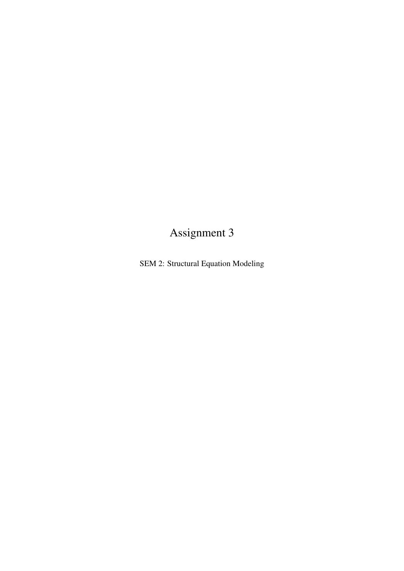# Assignment 3

SEM 2: Structural Equation Modeling